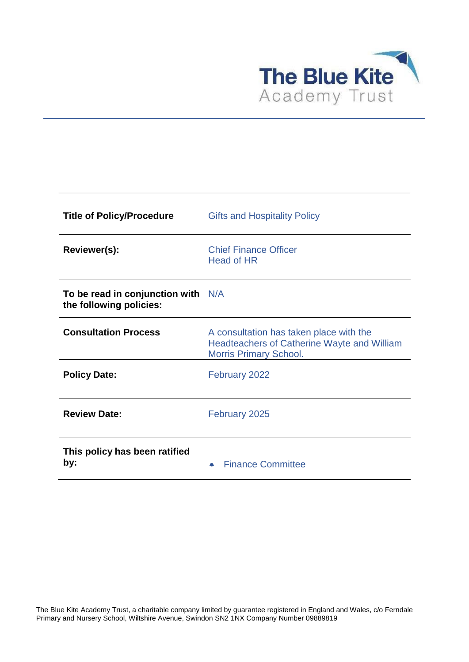

| <b>Title of Policy/Procedure</b>                                | <b>Gifts and Hospitality Policy</b>                                                                                            |
|-----------------------------------------------------------------|--------------------------------------------------------------------------------------------------------------------------------|
| Reviewer(s):                                                    | <b>Chief Finance Officer</b><br>Head of HR                                                                                     |
| To be read in conjunction with $N/A$<br>the following policies: |                                                                                                                                |
| <b>Consultation Process</b>                                     | A consultation has taken place with the<br><b>Headteachers of Catherine Wayte and William</b><br><b>Morris Primary School.</b> |
| <b>Policy Date:</b>                                             | February 2022                                                                                                                  |
| <b>Review Date:</b>                                             | February 2025                                                                                                                  |
| This policy has been ratified<br>by:                            | <b>Finance Committee</b>                                                                                                       |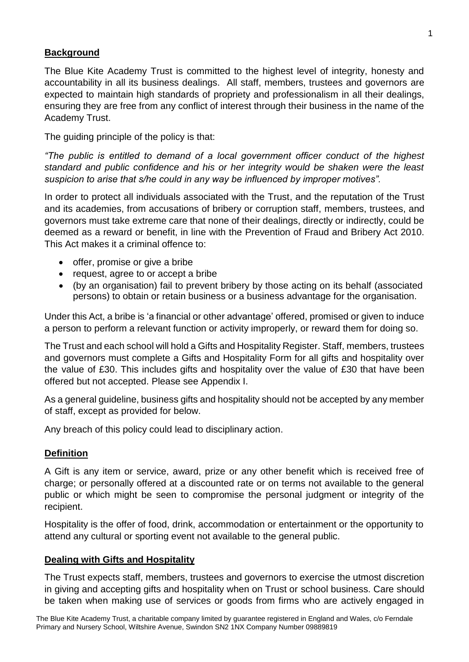#### **Background**

The Blue Kite Academy Trust is committed to the highest level of integrity, honesty and accountability in all its business dealings. All staff, members, trustees and governors are expected to maintain high standards of propriety and professionalism in all their dealings, ensuring they are free from any conflict of interest through their business in the name of the Academy Trust.

The guiding principle of the policy is that:

*"The public is entitled to demand of a local government officer conduct of the highest standard and public confidence and his or her integrity would be shaken were the least suspicion to arise that s/he could in any way be influenced by improper motives".*

In order to protect all individuals associated with the Trust, and the reputation of the Trust and its academies, from accusations of bribery or corruption staff, members, trustees, and governors must take extreme care that none of their dealings, directly or indirectly, could be deemed as a reward or benefit, in line with the Prevention of Fraud and Bribery Act 2010. This Act makes it a criminal offence to:

- offer, promise or give a bribe
- request, agree to or accept a bribe
- (by an organisation) fail to prevent bribery by those acting on its behalf (associated persons) to obtain or retain business or a business advantage for the organisation.

Under this Act, a bribe is 'a financial or other advantage' offered, promised or given to induce a person to perform a relevant function or activity improperly, or reward them for doing so.

The Trust and each school will hold a Gifts and Hospitality Register. Staff, members, trustees and governors must complete a Gifts and Hospitality Form for all gifts and hospitality over the value of £30. This includes gifts and hospitality over the value of £30 that have been offered but not accepted. Please see Appendix I.

As a general guideline, business gifts and hospitality should not be accepted by any member of staff, except as provided for below.

Any breach of this policy could lead to disciplinary action.

## **Definition**

A Gift is any item or service, award, prize or any other benefit which is received free of charge; or personally offered at a discounted rate or on terms not available to the general public or which might be seen to compromise the personal judgment or integrity of the recipient.

Hospitality is the offer of food, drink, accommodation or entertainment or the opportunity to attend any cultural or sporting event not available to the general public.

#### **Dealing with Gifts and Hospitality**

The Trust expects staff, members, trustees and governors to exercise the utmost discretion in giving and accepting gifts and hospitality when on Trust or school business. Care should be taken when making use of services or goods from firms who are actively engaged in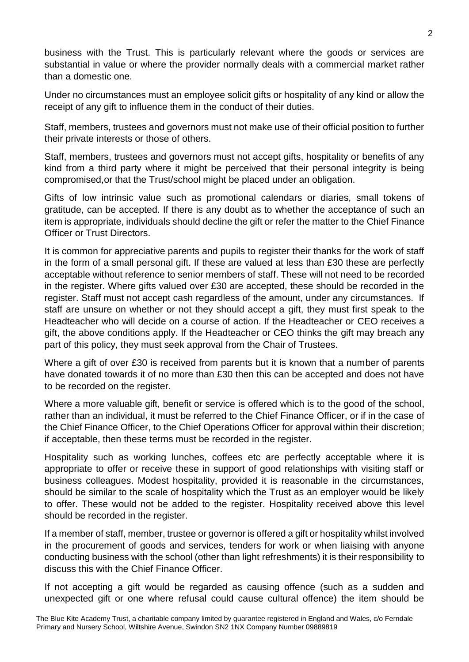business with the Trust. This is particularly relevant where the goods or services are substantial in value or where the provider normally deals with a commercial market rather than a domestic one.

Under no circumstances must an employee solicit gifts or hospitality of any kind or allow the receipt of any gift to influence them in the conduct of their duties.

Staff, members, trustees and governors must not make use of their official position to further their private interests or those of others.

Staff, members, trustees and governors must not accept gifts, hospitality or benefits of any kind from a third party where it might be perceived that their personal integrity is being compromised,or that the Trust/school might be placed under an obligation.

Gifts of low intrinsic value such as promotional calendars or diaries, small tokens of gratitude, can be accepted. If there is any doubt as to whether the acceptance of such an item is appropriate, individuals should decline the gift or refer the matter to the Chief Finance Officer or Trust Directors.

It is common for appreciative parents and pupils to register their thanks for the work of staff in the form of a small personal gift. If these are valued at less than £30 these are perfectly acceptable without reference to senior members of staff. These will not need to be recorded in the register. Where gifts valued over £30 are accepted, these should be recorded in the register. Staff must not accept cash regardless of the amount, under any circumstances. If staff are unsure on whether or not they should accept a gift, they must first speak to the Headteacher who will decide on a course of action. If the Headteacher or CEO receives a gift, the above conditions apply. If the Headteacher or CEO thinks the gift may breach any part of this policy, they must seek approval from the Chair of Trustees.

Where a gift of over £30 is received from parents but it is known that a number of parents have donated towards it of no more than £30 then this can be accepted and does not have to be recorded on the register.

Where a more valuable gift, benefit or service is offered which is to the good of the school, rather than an individual, it must be referred to the Chief Finance Officer, or if in the case of the Chief Finance Officer, to the Chief Operations Officer for approval within their discretion; if acceptable, then these terms must be recorded in the register.

Hospitality such as working lunches, coffees etc are perfectly acceptable where it is appropriate to offer or receive these in support of good relationships with visiting staff or business colleagues. Modest hospitality, provided it is reasonable in the circumstances, should be similar to the scale of hospitality which the Trust as an employer would be likely to offer. These would not be added to the register. Hospitality received above this level should be recorded in the register.

If a member of staff, member, trustee or governor is offered a gift or hospitality whilst involved in the procurement of goods and services, tenders for work or when liaising with anyone conducting business with the school (other than light refreshments) it is their responsibility to discuss this with the Chief Finance Officer.

If not accepting a gift would be regarded as causing offence (such as a sudden and unexpected gift or one where refusal could cause cultural offence) the item should be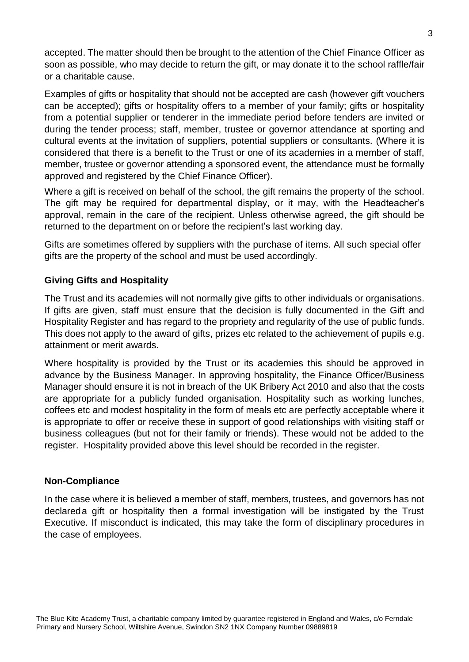accepted. The matter should then be brought to the attention of the Chief Finance Officer as soon as possible, who may decide to return the gift, or may donate it to the school raffle/fair or a charitable cause.

Examples of gifts or hospitality that should not be accepted are cash (however gift vouchers can be accepted); gifts or hospitality offers to a member of your family; gifts or hospitality from a potential supplier or tenderer in the immediate period before tenders are invited or during the tender process; staff, member, trustee or governor attendance at sporting and cultural events at the invitation of suppliers, potential suppliers or consultants. (Where it is considered that there is a benefit to the Trust or one of its academies in a member of staff, member, trustee or governor attending a sponsored event, the attendance must be formally approved and registered by the Chief Finance Officer).

Where a gift is received on behalf of the school, the gift remains the property of the school. The gift may be required for departmental display, or it may, with the Headteacher's approval, remain in the care of the recipient. Unless otherwise agreed, the gift should be returned to the department on or before the recipient's last working day.

Gifts are sometimes offered by suppliers with the purchase of items. All such special offer gifts are the property of the school and must be used accordingly.

## **Giving Gifts and Hospitality**

The Trust and its academies will not normally give gifts to other individuals or organisations. If gifts are given, staff must ensure that the decision is fully documented in the Gift and Hospitality Register and has regard to the propriety and regularity of the use of public funds. This does not apply to the award of gifts, prizes etc related to the achievement of pupils e.g. attainment or merit awards.

Where hospitality is provided by the Trust or its academies this should be approved in advance by the Business Manager. In approving hospitality, the Finance Officer/Business Manager should ensure it is not in breach of the UK Bribery Act 2010 and also that the costs are appropriate for a publicly funded organisation. Hospitality such as working lunches, coffees etc and modest hospitality in the form of meals etc are perfectly acceptable where it is appropriate to offer or receive these in support of good relationships with visiting staff or business colleagues (but not for their family or friends). These would not be added to the register. Hospitality provided above this level should be recorded in the register.

## **Non-Compliance**

In the case where it is believed a member of staff, members, trustees, and governors has not declareda gift or hospitality then a formal investigation will be instigated by the Trust Executive. If misconduct is indicated, this may take the form of disciplinary procedures in the case of employees.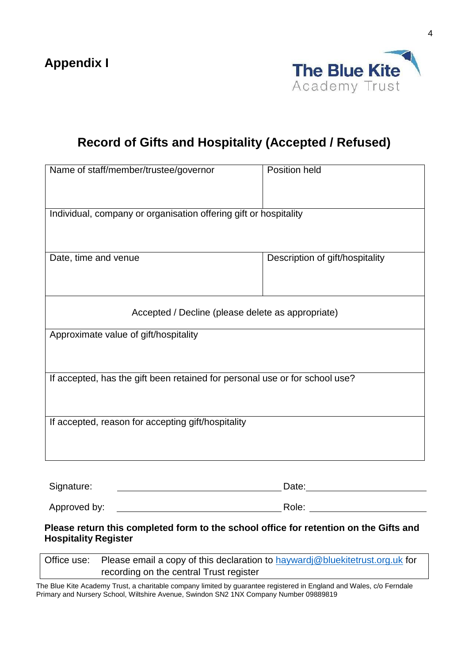

# **Record of Gifts and Hospitality (Accepted / Refused)**

| Name of staff/member/trustee/governor                                       | Position held                   |  |  |  |  |
|-----------------------------------------------------------------------------|---------------------------------|--|--|--|--|
| Individual, company or organisation offering gift or hospitality            |                                 |  |  |  |  |
| Date, time and venue                                                        | Description of gift/hospitality |  |  |  |  |
| Accepted / Decline (please delete as appropriate)                           |                                 |  |  |  |  |
| Approximate value of gift/hospitality                                       |                                 |  |  |  |  |
| If accepted, has the gift been retained for personal use or for school use? |                                 |  |  |  |  |
| If accepted, reason for accepting gift/hospitality                          |                                 |  |  |  |  |
| Signature:                                                                  | Date:                           |  |  |  |  |

Approved by: Role:

**Please return this completed form to the school office for retention on the Gifts and Hospitality Register**

| Office use: Please email a copy of this declaration to hayward @ bluekitetrust.org.uk for |
|-------------------------------------------------------------------------------------------|
| recording on the central Trust register                                                   |

The Blue Kite Academy Trust, a charitable company limited by guarantee registered in England and Wales, c/o Ferndale Primary and Nursery School, Wiltshire Avenue, Swindon SN2 1NX Company Number 09889819